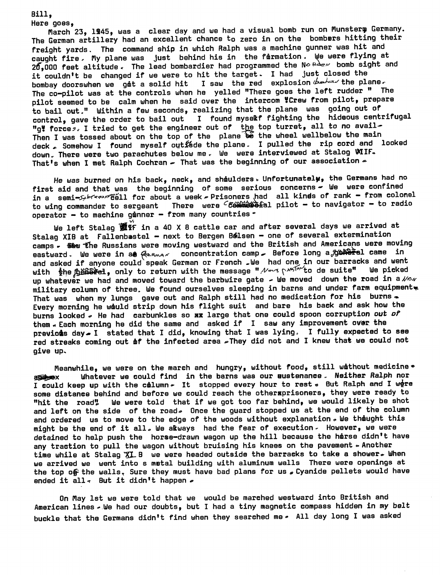Bill, Here goes,

March 23, 1945, was a clear day and we had a visual bomb run on Munsterm Germany. The German artillery had an excellent chance to zero in on the bombers hitting their freight yards. The command ship in which Ralph was a machine gunner was hit and caught fire. My plane was just behind his in the formation. We were flying at  $20$ ,000 feet altitude. The lead bombardier had programmed the No  $R\Delta e\nu$  bomb sight and it couldn't be changed if we were to hit the target. I had just closed the bombay doorswhen we got a solid hit I saw the red explosion  $\phi$  and  $\phi$  the plane. The co-pilot was at the controls when he yelled "There goes the left rudder " The pilot seemed to be calm when he said over the intercom YCrew from pilot, prepare to bail out." Within a few seconds, realizing that the plane was going out of control, gave the order to bail out I found myselkf fighting the hideous centrifugal "g" forces. I tried to get the engineer out of the top turret, all to no avail-Then I was tossed about on the top of the plane  $\widetilde{b}$  the wheel wellbelow the main deck & Somehow I found myself out ade the plane. I pulled the rip cord and looked down. There were two parachutes below me. We were interviewed at Stalog WIIF. That's when I met Ralph Cochran - That was the beginning of our association -

He *uas* burned on his back, neck, and shiulders» Unfortunately, the Germans had no first aid and that was the beginning of some serious concerns- We were confined in a semi-^^^^^ell for about a week *~* Prisoners *had* all kinds of rank - from colonel to wing commander to sergeant There were *c6£lm£&&i&l* pilot - to navigator - to radio operator - to machine gunner - from many countries  $\circ$ 

We left Stalag 窗虾 in a 40 X 8 cattle car and after several days we arrived at Stalag XIB at Fallenbastel - next to Bergen B&lsen - one of several extermination camps . Sew the Russians were moving westward and the British and Americans were moving eastward. We were in at  $\ell$ <sub>\*</sub>  $\kappa$  concentration camp - Before long a<sub>p</sub>grate came in and asked if anyone could speak German or French . We had one in our barracks and went<br>with the fighted , only to return with the message "  $\mathcal{W}^{p,q}$  of  $\mathbb{R}^{p,q'}$  to de suite" We picked with the file for the return with the message " New provide to de suite" up whatever we had and moved toward the barbwire gate  $\sim$  We moved down the road in a  $\mathcal{N}$ military eolumn of three. We found ourselves sleeping in barns and under farm equipment^ That was when my lungs gave out and Ralph still had no medication for his burns. Every morning he would strip down his flight suit and bare his back and ask how the burns looked *\** He had carbunkles so ax large that one could spoon corruption *out of* them  $\ast$  Each morning he did the same and asked if I saw any improvement over the previous day  $I$  stated that I did, knowing that I was lying. I fully expected to see red streaks coming out of the infected area . They did not and I knew that we could not give up.

Meanwhile, we were on the march and hungry, without food, still without medicine •<br>3D ax Whatever we could find in the barns was our eustenance. Neither Ralph nor I could keep up with the column. It stopped every hour to rest . But Ralph and I were some distance behind and before we could reach the othersprisoners, they were ready to "hit the road" We were told that if we got too far behind, we would likely be shot and left on the side of the road. Once the guard stopped us at the end of the column and ordered us to move to the edge of the woods without explanation *»* We thought this might be the end of it all, We akways had the fear of execution. However, we were detained to help push the horse-drawn wagon up the hill because the harse didn't have any traction to pull the wagon without bruising his knees on the pavement  $\sim$  Another time while at Stalag  $XL$  B we were headed outside the barracks to take a shower. When we arrived we went into s metal building with aluminum walls There were openings at the top of the walls, Sure they must have bad plans for us  $\epsilon$  Cyanide pellets would have ended it all<sub>5</sub> But it didn't happen  $\epsilon$ 

On May 1st we were told that we would be marched westward into British and American lines - We had our doubts, but I had a tiny magnetic compass hidden in my belt buckle that the Germans didn't find when they searched me. All day long I was asked